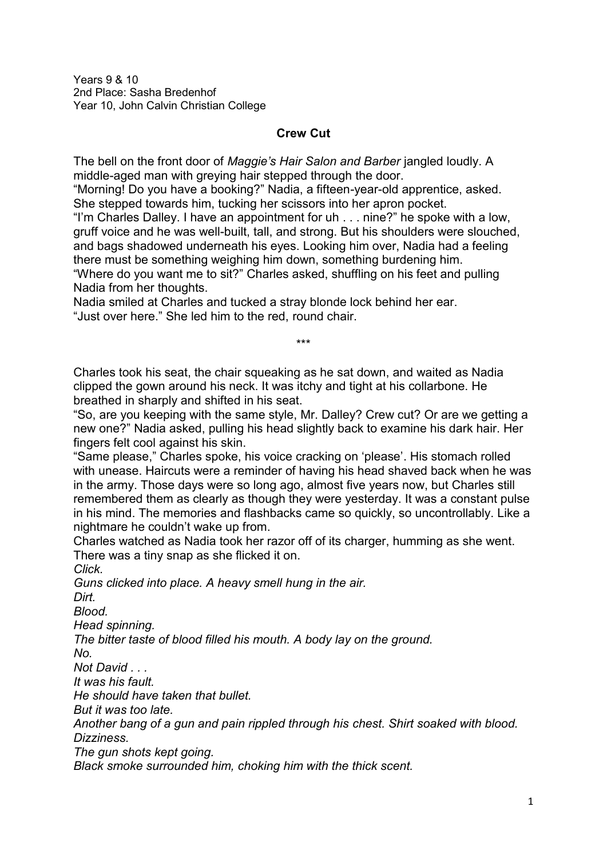Years 9 & 10 2nd Place: Sasha Bredenhof Year 10, John Calvin Christian College

## **Crew Cut**

The bell on the front door of *Maggie's Hair Salon and Barber* jangled loudly. A middle-aged man with greying hair stepped through the door.

"Morning! Do you have a booking?" Nadia, a fifteen-year-old apprentice, asked. She stepped towards him, tucking her scissors into her apron pocket.

"I'm Charles Dalley. I have an appointment for uh . . . nine?" he spoke with a low, gruff voice and he was well-built, tall, and strong. But his shoulders were slouched, and bags shadowed underneath his eyes. Looking him over, Nadia had a feeling there must be something weighing him down, something burdening him. "Where do you want me to sit?" Charles asked, shuffling on his feet and pulling Nadia from her thoughts.

Nadia smiled at Charles and tucked a stray blonde lock behind her ear. "Just over here." She led him to the red, round chair.

Charles took his seat, the chair squeaking as he sat down, and waited as Nadia clipped the gown around his neck. It was itchy and tight at his collarbone. He breathed in sharply and shifted in his seat.

"So, are you keeping with the same style, Mr. Dalley? Crew cut? Or are we getting a new one?" Nadia asked, pulling his head slightly back to examine his dark hair. Her fingers felt cool against his skin.

\*\*\*

"Same please," Charles spoke, his voice cracking on 'please'. His stomach rolled with unease. Haircuts were a reminder of having his head shaved back when he was in the army. Those days were so long ago, almost five years now, but Charles still remembered them as clearly as though they were yesterday. It was a constant pulse in his mind. The memories and flashbacks came so quickly, so uncontrollably. Like a nightmare he couldn't wake up from.

Charles watched as Nadia took her razor off of its charger, humming as she went. There was a tiny snap as she flicked it on.

*Click.* 

*Guns clicked into place. A heavy smell hung in the air.*

*Dirt.*

*Blood.*

*Head spinning.*

*The bitter taste of blood filled his mouth. A body lay on the ground.*

*No.* 

*Not David . . .* 

*It was his fault.*

*He should have taken that bullet.*

*But it was too late.*

*Another bang of a gun and pain rippled through his chest. Shirt soaked with blood. Dizziness.*

*The gun shots kept going.*

*Black smoke surrounded him, choking him with the thick scent.*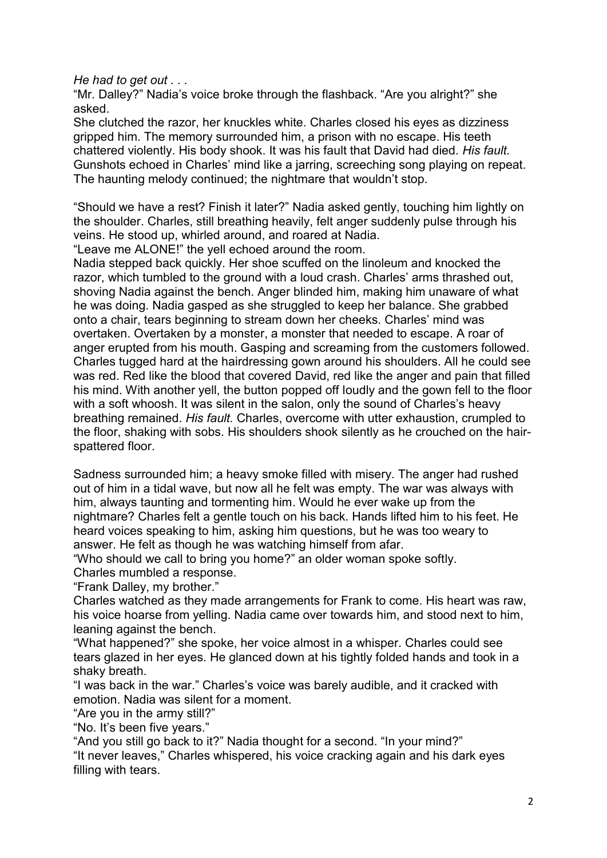*He had to get out . . .* 

"Mr. Dalley?" Nadia's voice broke through the flashback. "Are you alright?" she asked.

She clutched the razor, her knuckles white. Charles closed his eyes as dizziness gripped him. The memory surrounded him, a prison with no escape. His teeth chattered violently. His body shook. It was his fault that David had died. *His fault.*  Gunshots echoed in Charles' mind like a jarring, screeching song playing on repeat. The haunting melody continued; the nightmare that wouldn't stop.

"Should we have a rest? Finish it later?" Nadia asked gently, touching him lightly on the shoulder. Charles, still breathing heavily, felt anger suddenly pulse through his veins. He stood up, whirled around, and roared at Nadia.

"Leave me ALONE!" the yell echoed around the room.

Nadia stepped back quickly. Her shoe scuffed on the linoleum and knocked the razor, which tumbled to the ground with a loud crash. Charles' arms thrashed out, shoving Nadia against the bench. Anger blinded him, making him unaware of what he was doing. Nadia gasped as she struggled to keep her balance. She grabbed onto a chair, tears beginning to stream down her cheeks. Charles' mind was overtaken. Overtaken by a monster, a monster that needed to escape. A roar of anger erupted from his mouth. Gasping and screaming from the customers followed. Charles tugged hard at the hairdressing gown around his shoulders. All he could see was red. Red like the blood that covered David, red like the anger and pain that filled his mind. With another yell, the button popped off loudly and the gown fell to the floor with a soft whoosh. It was silent in the salon, only the sound of Charles's heavy breathing remained. *His fault.* Charles, overcome with utter exhaustion, crumpled to the floor, shaking with sobs. His shoulders shook silently as he crouched on the hairspattered floor.

Sadness surrounded him; a heavy smoke filled with misery. The anger had rushed out of him in a tidal wave, but now all he felt was empty. The war was always with him, always taunting and tormenting him. Would he ever wake up from the nightmare? Charles felt a gentle touch on his back. Hands lifted him to his feet. He heard voices speaking to him, asking him questions, but he was too weary to answer. He felt as though he was watching himself from afar.

"Who should we call to bring you home?" an older woman spoke softly. Charles mumbled a response.

"Frank Dalley, my brother."

Charles watched as they made arrangements for Frank to come. His heart was raw, his voice hoarse from yelling. Nadia came over towards him, and stood next to him, leaning against the bench.

"What happened?" she spoke, her voice almost in a whisper. Charles could see tears glazed in her eyes. He glanced down at his tightly folded hands and took in a shaky breath.

"I was back in the war." Charles's voice was barely audible, and it cracked with emotion. Nadia was silent for a moment.

"Are you in the army still?"

"No. It's been five years."

"And you still go back to it?" Nadia thought for a second. "In your mind?"

"It never leaves," Charles whispered, his voice cracking again and his dark eyes filling with tears.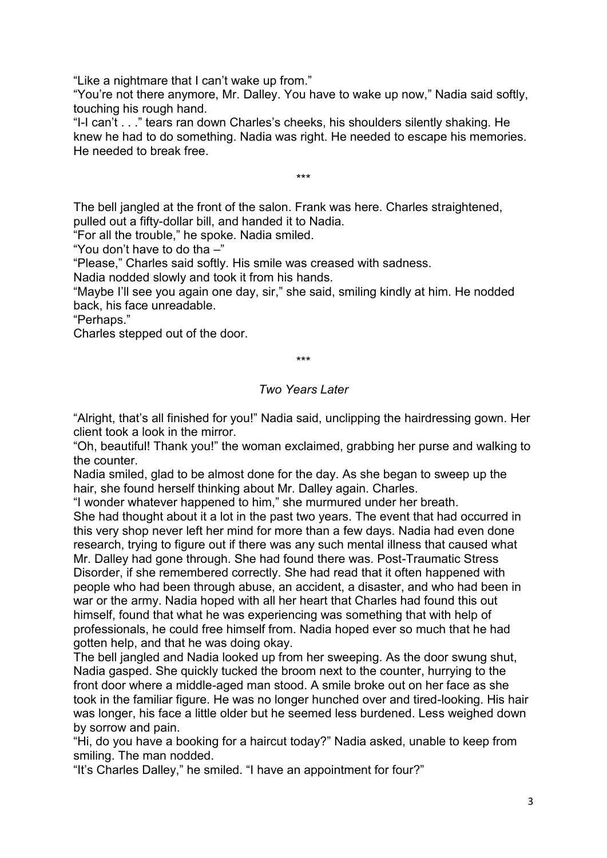"Like a nightmare that I can't wake up from."

"You're not there anymore, Mr. Dalley. You have to wake up now," Nadia said softly, touching his rough hand.

"I-I can't . . ." tears ran down Charles's cheeks, his shoulders silently shaking. He knew he had to do something. Nadia was right. He needed to escape his memories. He needed to break free.

\*\*\*

The bell jangled at the front of the salon. Frank was here. Charles straightened, pulled out a fifty-dollar bill, and handed it to Nadia.

"For all the trouble," he spoke. Nadia smiled.

"You don't have to do tha –"

"Please," Charles said softly. His smile was creased with sadness.

Nadia nodded slowly and took it from his hands.

"Maybe I'll see you again one day, sir," she said, smiling kindly at him. He nodded back, his face unreadable.

"Perhaps."

Charles stepped out of the door.

\*\*\*

## *Two Years Later*

"Alright, that's all finished for you!" Nadia said, unclipping the hairdressing gown. Her client took a look in the mirror.

"Oh, beautiful! Thank you!" the woman exclaimed, grabbing her purse and walking to the counter.

Nadia smiled, glad to be almost done for the day. As she began to sweep up the hair, she found herself thinking about Mr. Dalley again. Charles.

"I wonder whatever happened to him," she murmured under her breath.

She had thought about it a lot in the past two years. The event that had occurred in this very shop never left her mind for more than a few days. Nadia had even done research, trying to figure out if there was any such mental illness that caused what Mr. Dalley had gone through. She had found there was. Post-Traumatic Stress Disorder, if she remembered correctly. She had read that it often happened with people who had been through abuse, an accident, a disaster, and who had been in war or the army. Nadia hoped with all her heart that Charles had found this out himself, found that what he was experiencing was something that with help of professionals, he could free himself from. Nadia hoped ever so much that he had gotten help, and that he was doing okay.

The bell jangled and Nadia looked up from her sweeping. As the door swung shut, Nadia gasped. She quickly tucked the broom next to the counter, hurrying to the front door where a middle-aged man stood. A smile broke out on her face as she took in the familiar figure. He was no longer hunched over and tired-looking. His hair was longer, his face a little older but he seemed less burdened. Less weighed down by sorrow and pain.

"Hi, do you have a booking for a haircut today?" Nadia asked, unable to keep from smiling. The man nodded.

"It's Charles Dalley," he smiled. "I have an appointment for four?"